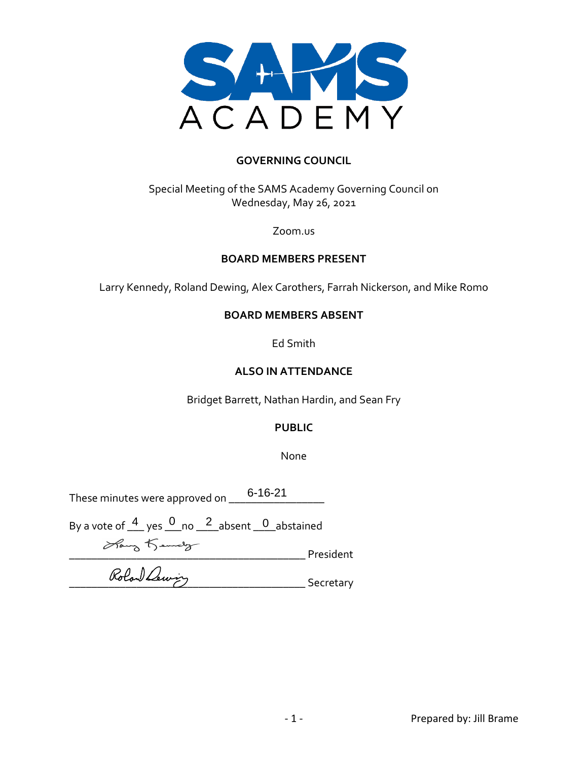

#### **GOVERNING COUNCIL**

## Special Meeting of the SAMS Academy Governing Council on Wednesday, May 26, 2021

#### Zoom.us

#### **BOARD MEMBERS PRESENT**

Larry Kennedy, Roland Dewing, Alex Carothers, Farrah Nickerson, and Mike Romo

#### **BOARD MEMBERS ABSENT**

Ed Smith

#### **ALSO IN ATTENDANCE**

Bridget Barrett, Nathan Hardin, and Sean Fry

## **PUBLIC**

None

These minutes were approved on  $\underline{\quad \quad }$  6-16-21  $\underline{\quad \quad }$ 

By a vote of  $\frac{4}{ }$  yes  $\frac{0}{ }$  no  $\frac{2}{ }$  absent  $\frac{0}{ }$  abstained

\_\_\_\_\_\_\_\_\_\_\_\_\_\_\_\_\_\_\_\_\_\_\_\_\_\_\_\_\_\_\_\_\_\_\_\_\_\_\_\_\_\_ President

Rolan Lewin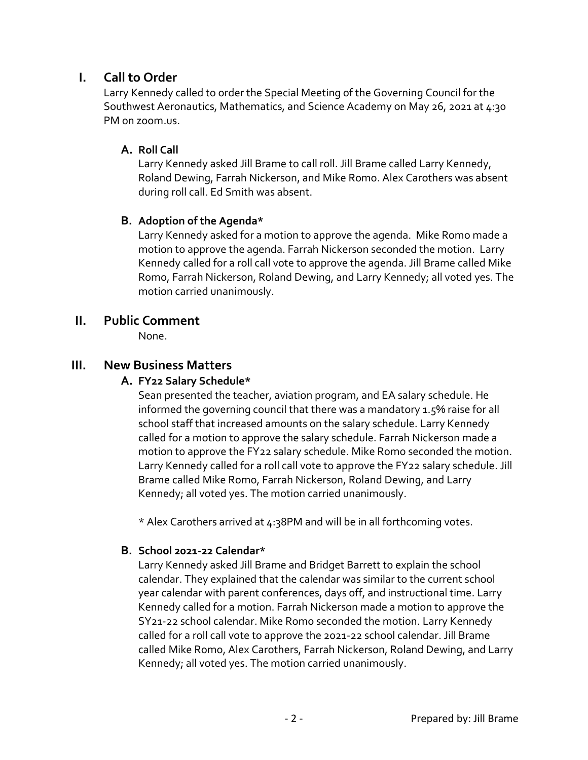# **I. Call to Order**

Larry Kennedy called to order the Special Meeting of the Governing Council for the Southwest Aeronautics, Mathematics, and Science Academy on May 26, 2021 at 4:30 PM on zoom.us.

## **A. Roll Call**

Larry Kennedy asked Jill Brame to call roll. Jill Brame called Larry Kennedy, Roland Dewing, Farrah Nickerson, and Mike Romo. Alex Carothers was absent during roll call. Ed Smith was absent.

## **B. Adoption of the Agenda\***

Larry Kennedy asked for a motion to approve the agenda. Mike Romo made a motion to approve the agenda. Farrah Nickerson seconded the motion. Larry Kennedy called for a roll call vote to approve the agenda. Jill Brame called Mike Romo, Farrah Nickerson, Roland Dewing, and Larry Kennedy; all voted yes. The motion carried unanimously.

## **II. Public Comment**

None.

## **III. New Business Matters**

## **A. FY22 Salary Schedule\***

Sean presented the teacher, aviation program, and EA salary schedule. He informed the governing council that there was a mandatory 1.5% raise for all school staff that increased amounts on the salary schedule. Larry Kennedy called for a motion to approve the salary schedule. Farrah Nickerson made a motion to approve the FY22 salary schedule. Mike Romo seconded the motion. Larry Kennedy called for a roll call vote to approve the FY22 salary schedule. Jill Brame called Mike Romo, Farrah Nickerson, Roland Dewing, and Larry Kennedy; all voted yes. The motion carried unanimously.

\* Alex Carothers arrived at 4:38PM and will be in all forthcoming votes.

## **B. School 2021-22 Calendar\***

Larry Kennedy asked Jill Brame and Bridget Barrett to explain the school calendar. They explained that the calendar was similar to the current school year calendar with parent conferences, days off, and instructional time. Larry Kennedy called for a motion. Farrah Nickerson made a motion to approve the SY21-22 school calendar. Mike Romo seconded the motion. Larry Kennedy called for a roll call vote to approve the 2021-22 school calendar. Jill Brame called Mike Romo, Alex Carothers, Farrah Nickerson, Roland Dewing, and Larry Kennedy; all voted yes. The motion carried unanimously.